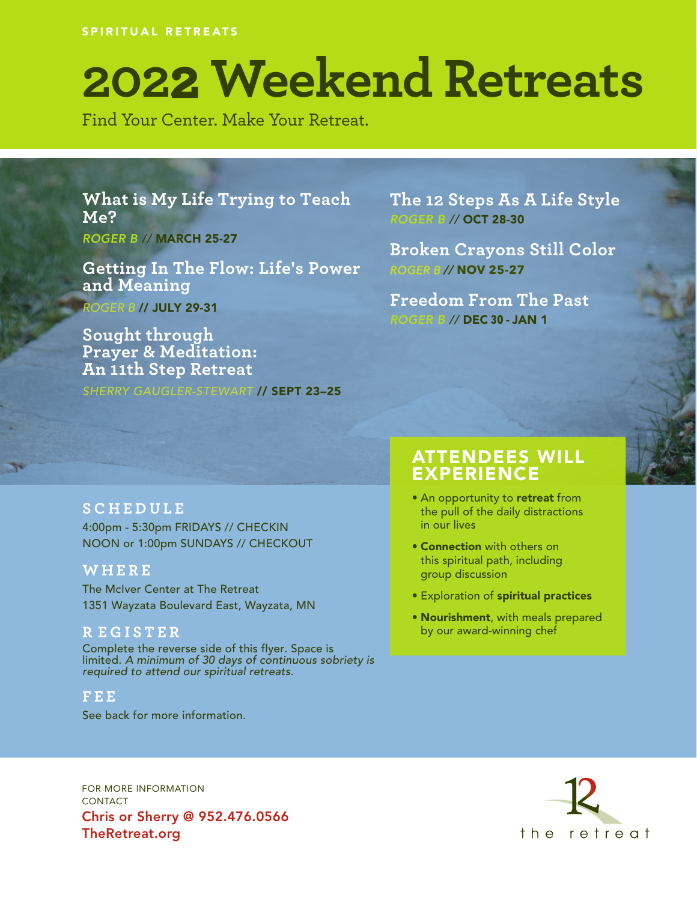SPIRITUAL RETREATS

# **2022 Weekend Retreats**

Find Your Center. Make Your Retreat.

**What is My Life Trying to Teach Me?** *ROGER B //* MARCH 25-27

**Getting In The Flow: Life's Power and Meaning** ROGER B // JULY 29-31

**Sought through Prayer & Meditation: An 11th Step Retreat**

SHERRY GAUGLER-STEWART // SEPT 23-25

**The 12 Steps As A Life Style** *ROGER B //* OCT 28-30

**Broken Crayons Still Color** ROGER B // **NOV 25-27**

**Freedom From The Past** *ROGER B //* DEC **30** - JAN 1

#### **SCHEDULE**

4:00pm - 5:30pm FRIDAYS // CHECKIN NOON or 1:00pm SUNDAYS // CHECKOUT

#### **WHERE**

The McIver Center at The Retreat 1351 Wayzata Boulevard East, Wayzata, MN

#### **R EGISTER**

Complete the reverse side of this flyer. Space is limited. A minimum of 30 days of continuous sobriety is required to attend our spiritual retreats.

**FEE**

See back for more information.

### ATTENDEES WILL EXPERIENCE

- An opportunity to retreat from the pull of the daily distractions in our lives
- Connection with others on this spiritual path, including group discussion
- Exploration of spiritual practices
- Nourishment, with meals prepared by our award-winning chef

FOR MORE INFORMATION CONTACT Chris or Sherry @ 952.476.0566 TheRetreat.org